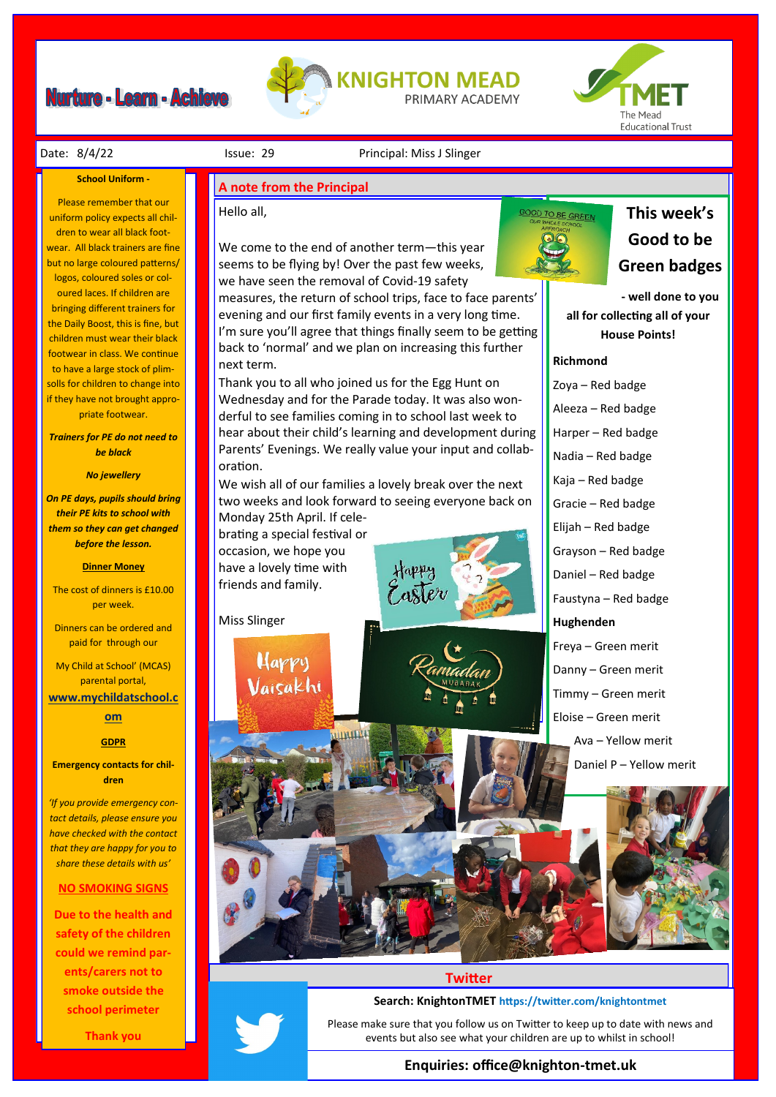# **Nurture - Learn - Achieve**





Date: 8/4/22 **ISSUE: 29** Principal: Miss J Slinger

#### **School Uniform -**

Please remember that our uniform policy expects all children to wear all black footwear. All black trainers are fine but no large coloured patterns/ logos, coloured soles or coloured laces. If children are bringing different trainers for the Daily Boost, this is fine, but children must wear their black footwear in class. We continue to have a large stock of plimsolls for children to change into if they have not brought appropriate footwear.

*Trainers for PE do not need to be black*

#### *No jewellery*

*On PE days, pupils should bring their PE kits to school with them so they can get changed before the lesson.*

#### **Dinner Money**

The cost of dinners is £10.00 per week.

Dinners can be ordered and paid for through our

My Child at School' (MCAS) parental portal,

**[www.mychildatschool.c](http://www.mychildatschool.com/)**

# **[om](http://www.mychildatschool.com/)**

### **GDPR**

**Emergency contacts for children**

*'If you provide emergency contact details, please ensure you have checked with the contact that they are happy for you to share these details with us'*

#### **NO SMOKING SIGNS**

**Due to the health and safety of the children could we remind parents/carers not to smoke outside the school perimeter** 

**Thank you**

# **A note from the Principal**

# Hello all,

We come to the end of another term—this year seems to be flying by! Over the past few weeks, we have seen the removal of Covid-19 safety measures, the return of school trips, face to face parents' evening and our first family events in a very long time. I'm sure you'll agree that things finally seem to be getting back to 'normal' and we plan on increasing this further next term.

Thank you to all who joined us for the Egg Hunt on Wednesday and for the Parade today. It was also wonderful to see families coming in to school last week to hear about their child's learning and development during Parents' Evenings. We really value your input and collaboration.

We wish all of our families a lovely break over the next two weeks and look forward to seeing everyone back on Monday 25th April. If cele-

brating a special festival or occasion, we hope you have a lovely time with friends and family.

> Happy Vaisakhi

Miss Slinger





**This week's Good to be Green badges** 

**- well done to you all for collecting all of your House Points!**

#### **Richmond**

**GOOD TO BE GREEN** 

Zoya – Red badge Aleeza – Red badge Harper – Red badge Nadia – Red badge Kaja – Red badge Gracie – Red badge Elijah – Red badge Grayson – Red badge Daniel – Red badge Faustyna – Red badge **Hughenden**  Freya – Green merit Danny – Green merit Timmy – Green merit Eloise – Green merit Ava – Yellow merit Daniel P – Yellow merit



## **Twitter**

**Search: KnightonTMET https://twitter.com/knightontmet**

Please make sure that you follow us on Twitter to keep up to date with news and events but also see what your children are up to whilst in school!

# **Enquiries: office@knighton-tmet.uk**